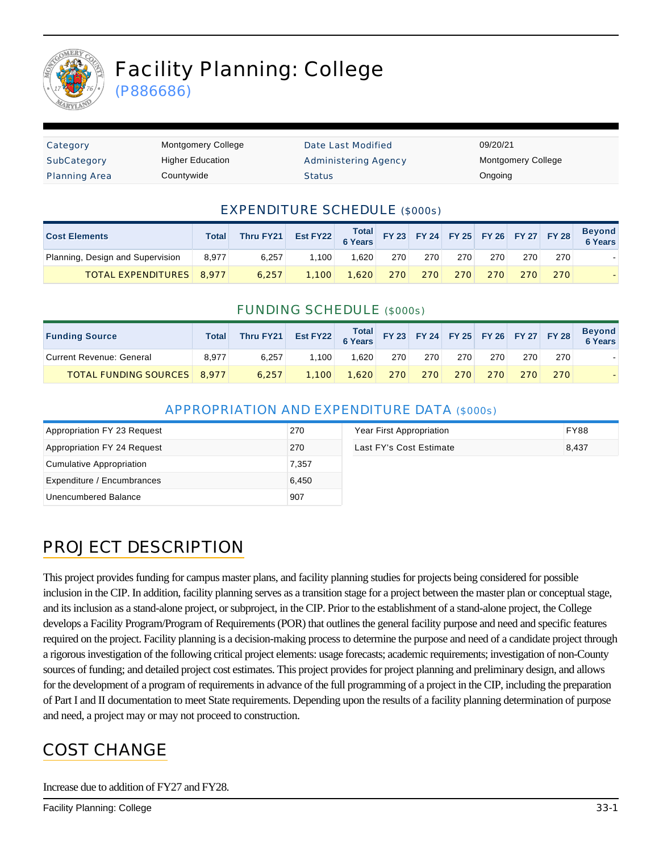

# Facility Planning: College

(P886686)

| Category             | <b>Montgomery College</b> | Date Last Modified          | 09/20/21                  |
|----------------------|---------------------------|-----------------------------|---------------------------|
| SubCategory          | <b>Higher Education</b>   | <b>Administering Agency</b> | <b>Montgomery College</b> |
| <b>Planning Area</b> | Countywide                | <b>Status</b>               | Ongoing                   |

#### EXPENDITURE SCHEDULE (\$000s)

| <b>Cost Elements</b>             | Total | Thru FY21 | Est FY22 Total FY 23 FY 24 FY 25 FY 26 FY 27 FY 28 |       |     |         |     |     |     |     | <b>Beyond</b><br>6 Years |
|----------------------------------|-------|-----------|----------------------------------------------------|-------|-----|---------|-----|-----|-----|-----|--------------------------|
| Planning, Design and Supervision | 8.977 | 6.257     | 1.100                                              | 1.620 | 270 | 270     | 270 | 270 | 270 | 270 |                          |
| <b>TOTAL EXPENDITURES</b> 8,977  |       | 6.257     | 1.100                                              | 1.620 |     | 270 270 | 270 | 270 | 270 | 270 |                          |

#### FUNDING SCHEDULE (\$000s)

| <b>Funding Source</b>              | <b>Total</b> | Thru FY21 |       |       |     |     |     |     |     |     | Beyond<br>6 Years |
|------------------------------------|--------------|-----------|-------|-------|-----|-----|-----|-----|-----|-----|-------------------|
| Current Revenue: General           | 8.977        | 6.257     | 1.100 | 1.620 | 270 | 270 | 270 | 270 | 270 | 270 |                   |
| <b>TOTAL FUNDING SOURCES 8.977</b> |              | 6.257     | 1.100 | 1.620 | 270 | 270 | 270 | 270 | 270 | 270 |                   |

#### APPROPRIATION AND EXPENDITURE DATA (\$000s)

| Appropriation FY 23 Request | 270   | Year First Appropriation | <b>FY88</b> |
|-----------------------------|-------|--------------------------|-------------|
| Appropriation FY 24 Request | 270   | Last FY's Cost Estimate  | 8,437       |
| Cumulative Appropriation    | 7.357 |                          |             |
| Expenditure / Encumbrances  | 6.450 |                          |             |
| Unencumbered Balance        | 907   |                          |             |

# PROJECT DESCRIPTION

This project provides funding for campus master plans, and facility planning studies for projects being considered for possible inclusion in the CIP. In addition, facility planning serves as a transition stage for a project between the master plan or conceptual stage, and its inclusion as a stand-alone project, or subproject, in the CIP. Prior to the establishment of a stand-alone project, the College develops a Facility Program/Program of Requirements (POR) that outlines the general facility purpose and need and specific features required on the project. Facility planning is a decision-making process to determine the purpose and need of a candidate project through a rigorous investigation of the following critical project elements: usage forecasts; academic requirements; investigation of non-County sources of funding; and detailed project cost estimates. This project provides for project planning and preliminary design, and allows for the development of a program of requirements in advance of the full programming of a project in the CIP, including the preparation of Part I and II documentation to meet State requirements. Depending upon the results of a facility planning determination of purpose and need, a project may or may not proceed to construction.

# COST CHANGE

Increase due to addition of FY27 and FY28.